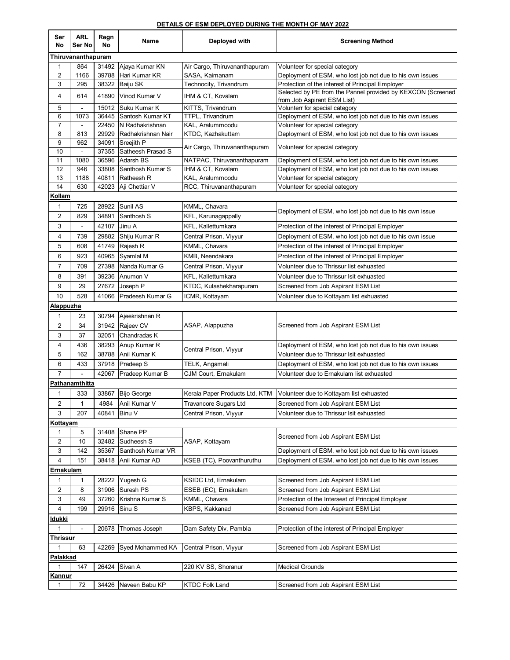## **DETAILS OF ESM DEPLOYED DURING THE MONTH OF MAY 2022**

| Ser<br>No        | <b>ARL</b><br>Ser No   | Regn<br>No     | Name                            | Deployed with                  | <b>Screening Method</b>                                                                    |  |  |  |  |
|------------------|------------------------|----------------|---------------------------------|--------------------------------|--------------------------------------------------------------------------------------------|--|--|--|--|
|                  | Thiruvananthapuram     |                |                                 |                                |                                                                                            |  |  |  |  |
| $\mathbf{1}$     | 864                    |                | 31492 Ajaya Kumar KN            | Air Cargo, Thiruvananthapuram  | Volunteer for special category                                                             |  |  |  |  |
| 2                | 1166                   |                | 39788 Hari Kumar KR             | SASA, Kaimanam                 | Deployment of ESM, who lost job not due to his own issues                                  |  |  |  |  |
| 3                | 295                    |                | 38322 Baiju SK                  | Technocity, Trivandrum         | Protection of the interest of Principal Employer                                           |  |  |  |  |
| 4                | 614                    | 41890          | Vinod Kumar V                   | IHM & CT, Kovalam              | Selected by PE from the Pannel provided by KEXCON (Screened<br>from Job Aspirant ESM List) |  |  |  |  |
| 5                | $\blacksquare$         |                | 15012 Suku Kumar K              | KITTS, Trivandrum              | Volunterr for special category                                                             |  |  |  |  |
| 6                | 1073                   |                | 36445 Santosh Kumar KT          | TTPL, Trivandrum               | Deployment of ESM, who lost job not due to his own issues                                  |  |  |  |  |
| $\overline{7}$   | $\blacksquare$         |                | 22450 N Radhakrishnan           | KAL, Aralummoodu               | Volunteer for special category                                                             |  |  |  |  |
| 8                | 813                    | 29929          | Radhakrishnan Nair              | KTDC, Kazhakuttam              | Deployment of ESM, who lost job not due to his own issues                                  |  |  |  |  |
| 9                | 962                    | 34091          | Sreejith P<br>Satheesh Prasad S | Air Cargo, Thiruvananthapuram  | Volunteer for special category                                                             |  |  |  |  |
| 10<br>11         | $\blacksquare$<br>1080 | 37355<br>36596 | Adarsh BS                       | NATPAC, Thiruvananthapuram     | Deployment of ESM, who lost job not due to his own issues                                  |  |  |  |  |
| 12               | 946                    |                | 33808 Santhosh Kumar S          | IHM & CT, Kovalam              | Deployment of ESM, who lost job not due to his own issues                                  |  |  |  |  |
| 13               | 1188                   | 40811          | Ratheesh R                      | KAL, Aralummoodu               | Volunteer for special category                                                             |  |  |  |  |
| 14               | 630                    |                | 42023 Aji Chettiar V            | RCC, Thiruvananthapuram        | Volunteer for special category                                                             |  |  |  |  |
| Kollam           |                        |                |                                 |                                |                                                                                            |  |  |  |  |
| 1                | 725                    | 28922          | Sunil AS                        | KMML, Chavara                  |                                                                                            |  |  |  |  |
| $\overline{2}$   | 829                    | 34891          | Santhosh S                      | KFL, Karunagappally            | Deployment of ESM, who lost job not due to his own issue                                   |  |  |  |  |
| 3                |                        | 42107          | Jinu A                          | <b>KFL. Kallettumkara</b>      | Protection of the interest of Principal Employer                                           |  |  |  |  |
| 4                | 739                    | 29882          | Shiju Kumar R                   | Central Prison, Viyyur         | Deployment of ESM, who lost job not due to his own issue                                   |  |  |  |  |
| 5                | 608                    | 41749          | Rajesh R                        | KMML, Chavara                  | Protection of the interest of Principal Employer                                           |  |  |  |  |
| 6                | 923                    | 40965          | Syamlal M                       | KMB, Neendakara                | Protection of the interest of Principal Employer                                           |  |  |  |  |
| $\overline{7}$   | 709                    | 27398          | Nanda Kumar G                   | Central Prison, Viyyur         | Volunteer due to Thrissur list exhuasted                                                   |  |  |  |  |
| 8                | 391                    | 39236          | Anumon V                        | KFL, Kallettumkara             | Volunteer due to Thrissur Isit exhuasted                                                   |  |  |  |  |
| 9                | 29                     | 27672          | Joseph P                        | KTDC, Kulashekharapuram        | Screened from Job Aspirant ESM List                                                        |  |  |  |  |
| 10               | 528                    | 41066          | Pradeesh Kumar G                | ICMR, Kottayam                 | Volunteer due to Kottayam list exhuasted                                                   |  |  |  |  |
| <u>Alappuzha</u> |                        |                |                                 |                                |                                                                                            |  |  |  |  |
| $\mathbf{1}$     | 23                     |                | 30794 Ajeekrishnan R            |                                |                                                                                            |  |  |  |  |
| 2                | 34                     |                | 31942 Rajeev CV                 | ASAP, Alappuzha                | Screened from Job Aspirant ESM List                                                        |  |  |  |  |
| 3                | 37                     | 32051          | Chandradas K                    |                                |                                                                                            |  |  |  |  |
| 4                | 436                    |                | 38293 Anup Kumar R              |                                | Deployment of ESM, who lost job not due to his own issues                                  |  |  |  |  |
| 5                | 162                    |                | 38788 Anil Kumar K              | Central Prison, Viyyur         | Volunteer due to Thrissur Isit exhuasted                                                   |  |  |  |  |
| 6                | 433                    |                | 37918 Pradeep S                 | TELK, Angamali                 | Deployment of ESM, who lost job not due to his own issues                                  |  |  |  |  |
| $\overline{7}$   | $\overline{a}$         | 42067          | Pradeep Kumar B                 | CJM Court, Ernakulam           | Volunteer due to Ernakulam list exhuasted                                                  |  |  |  |  |
|                  | Pathanamthitta         |                |                                 |                                |                                                                                            |  |  |  |  |
| 1                | 333                    |                | 33867 Bijo George               | Kerala Paper Products Ltd, KTM | Volunteer due to Kottayam list exhuasted                                                   |  |  |  |  |
| 2                | 1                      |                | 4984 Anil Kumar V               | Travancore Sugars Ltd          | Screened from Job Aspirant ESM List                                                        |  |  |  |  |
| 3                | 207                    | 40841          | Binu V                          | Central Prison, Viyyur         | Volunteer due to Thrissur Isit exhuasted                                                   |  |  |  |  |
| <u>Kottayam</u>  |                        |                |                                 |                                |                                                                                            |  |  |  |  |
| 1                | 5                      |                | 31408 Shane PP                  |                                |                                                                                            |  |  |  |  |
| $\overline{2}$   | 10                     |                | 32482 Sudheesh S                | ASAP, Kottayam                 | Screened from Job Aspirant ESM List                                                        |  |  |  |  |
| 3                | 142                    | 35367          | Santhosh Kumar VR               |                                | Deployment of ESM, who lost job not due to his own issues                                  |  |  |  |  |
| 4                | 151                    |                | 38418 Anil Kumar AD             | KSEB (TC), Poovanthuruthu      | Deployment of ESM, who lost job not due to his own issues                                  |  |  |  |  |
|                  | Ernakulam              |                |                                 |                                |                                                                                            |  |  |  |  |
| 1                | 1                      |                | 28222 Yugesh G                  | KSIDC Ltd, Ernakulam           | Screened from Job Aspirant ESM List                                                        |  |  |  |  |
| 2                | 8                      |                | 31906 Suresh PS                 | ESEB (EC), Ernakulam           | Screened from Job Aspirant ESM List                                                        |  |  |  |  |
| 3                | 49                     | 37260          | Krishna Kumar S                 | KMML, Chavara                  | Protection of the Intersest of Principal Employer                                          |  |  |  |  |
| 4                | 199                    | 29916          | Sinu S                          | KBPS, Kakkanad                 | Screened from Job Aspirant ESM List                                                        |  |  |  |  |
| <u>Idukki</u>    |                        |                |                                 |                                |                                                                                            |  |  |  |  |
| 1                | $\overline{a}$         | 20678          | Thomas Joseph                   | Dam Safety Div, Pambla         | Protection of the interest of Principal Employer                                           |  |  |  |  |
| <b>Thrissur</b>  |                        |                |                                 |                                |                                                                                            |  |  |  |  |
| 1                | 63                     |                | 42269 Syed Mohammed KA          | Central Prison, Viyyur         | Screened from Job Aspirant ESM List                                                        |  |  |  |  |
| Palakkad         |                        |                |                                 |                                |                                                                                            |  |  |  |  |
| 1                | 147                    |                | 26424 Sivan A                   | 220 KV SS, Shoranur            | <b>Medical Grounds</b>                                                                     |  |  |  |  |
| <b>Kannur</b>    |                        |                |                                 |                                |                                                                                            |  |  |  |  |
| $\mathbf{1}$     | 72                     |                | 34426 Naveen Babu KP            | <b>KTDC Folk Land</b>          | Screened from Job Aspirant ESM List                                                        |  |  |  |  |